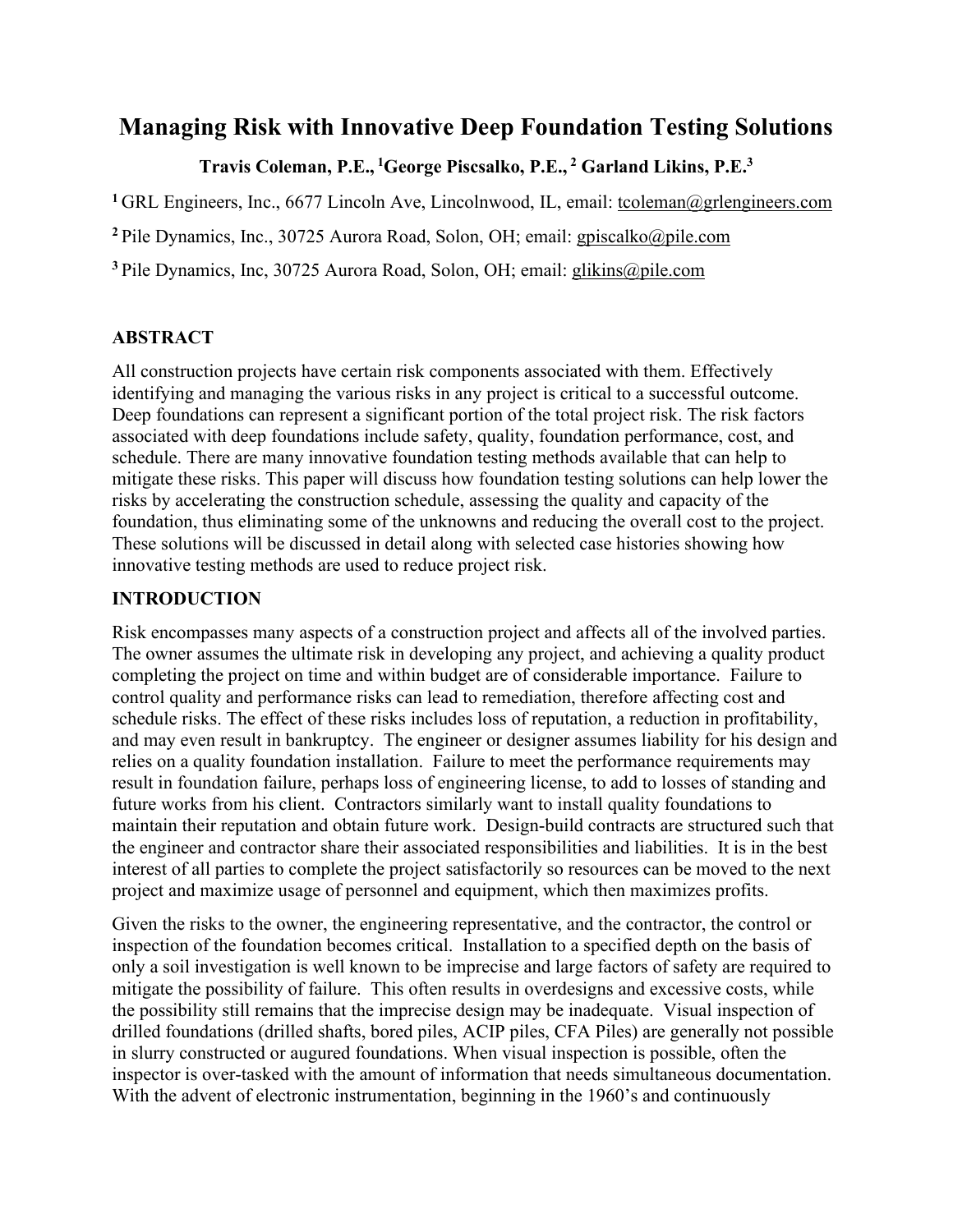# **Managing Risk with Innovative Deep Foundation Testing Solutions**

# **Travis Coleman, P.E., <sup>1</sup> George Piscsalko, P.E., <sup>2</sup> Garland Likins, P.E.3**

<sup>1</sup> GRL Engineers, Inc., 6677 Lincoln Ave, Lincolnwood, IL, email: [tcoleman@grlengineers.com](mailto:tcoleman@grlengineers.com)

**<sup>2</sup>** Pile Dynamics, Inc., 30725 Aurora Road, Solon, OH; email: [gpiscalko@pile.com](mailto:gpiscalko@pile.com)

**<sup>3</sup>**Pile Dynamics, Inc, 30725 Aurora Road, Solon, OH; email: [glikins@pile.com](mailto:glikins@pile.com)

# **ABSTRACT**

All construction projects have certain risk components associated with them. Effectively identifying and managing the various risks in any project is critical to a successful outcome. Deep foundations can represent a significant portion of the total project risk. The risk factors associated with deep foundations include safety, quality, foundation performance, cost, and schedule. There are many innovative foundation testing methods available that can help to mitigate these risks. This paper will discuss how foundation testing solutions can help lower the risks by accelerating the construction schedule, assessing the quality and capacity of the foundation, thus eliminating some of the unknowns and reducing the overall cost to the project. These solutions will be discussed in detail along with selected case histories showing how innovative testing methods are used to reduce project risk.

# **INTRODUCTION**

Risk encompasses many aspects of a construction project and affects all of the involved parties. The owner assumes the ultimate risk in developing any project, and achieving a quality product completing the project on time and within budget are of considerable importance. Failure to control quality and performance risks can lead to remediation, therefore affecting cost and schedule risks. The effect of these risks includes loss of reputation, a reduction in profitability, and may even result in bankruptcy. The engineer or designer assumes liability for his design and relies on a quality foundation installation. Failure to meet the performance requirements may result in foundation failure, perhaps loss of engineering license, to add to losses of standing and future works from his client. Contractors similarly want to install quality foundations to maintain their reputation and obtain future work. Design-build contracts are structured such that the engineer and contractor share their associated responsibilities and liabilities. It is in the best interest of all parties to complete the project satisfactorily so resources can be moved to the next project and maximize usage of personnel and equipment, which then maximizes profits.

Given the risks to the owner, the engineering representative, and the contractor, the control or inspection of the foundation becomes critical. Installation to a specified depth on the basis of only a soil investigation is well known to be imprecise and large factors of safety are required to mitigate the possibility of failure. This often results in overdesigns and excessive costs, while the possibility still remains that the imprecise design may be inadequate. Visual inspection of drilled foundations (drilled shafts, bored piles, ACIP piles, CFA Piles) are generally not possible in slurry constructed or augured foundations. When visual inspection is possible, often the inspector is over-tasked with the amount of information that needs simultaneous documentation. With the advent of electronic instrumentation, beginning in the 1960's and continuously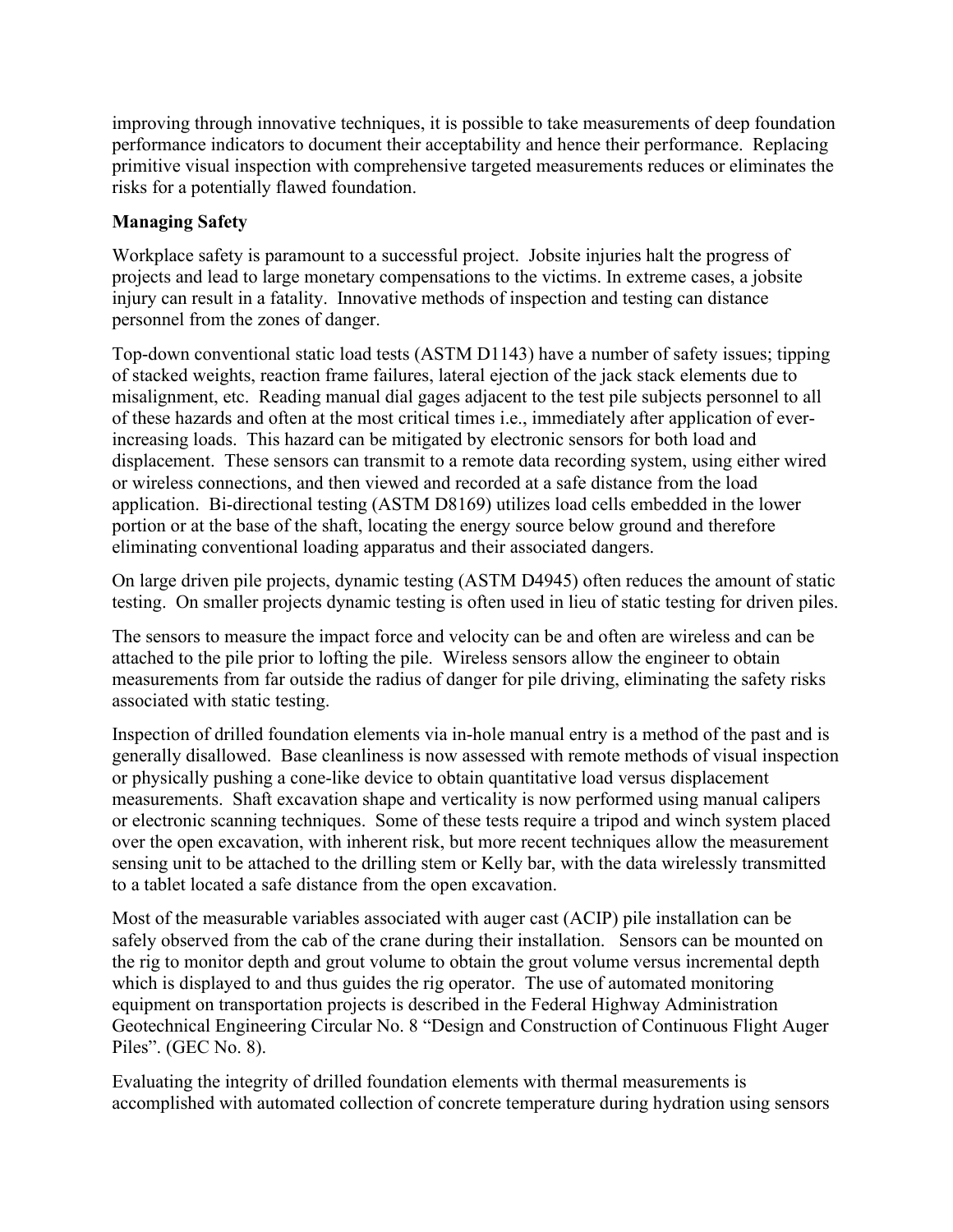improving through innovative techniques, it is possible to take measurements of deep foundation performance indicators to document their acceptability and hence their performance. Replacing primitive visual inspection with comprehensive targeted measurements reduces or eliminates the risks for a potentially flawed foundation.

## **Managing Safety**

Workplace safety is paramount to a successful project. Jobsite injuries halt the progress of projects and lead to large monetary compensations to the victims. In extreme cases, a jobsite injury can result in a fatality. Innovative methods of inspection and testing can distance personnel from the zones of danger.

Top-down conventional static load tests (ASTM D1143) have a number of safety issues; tipping of stacked weights, reaction frame failures, lateral ejection of the jack stack elements due to misalignment, etc. Reading manual dial gages adjacent to the test pile subjects personnel to all of these hazards and often at the most critical times i.e., immediately after application of everincreasing loads. This hazard can be mitigated by electronic sensors for both load and displacement. These sensors can transmit to a remote data recording system, using either wired or wireless connections, and then viewed and recorded at a safe distance from the load application. Bi-directional testing (ASTM D8169) utilizes load cells embedded in the lower portion or at the base of the shaft, locating the energy source below ground and therefore eliminating conventional loading apparatus and their associated dangers.

On large driven pile projects, dynamic testing (ASTM D4945) often reduces the amount of static testing. On smaller projects dynamic testing is often used in lieu of static testing for driven piles.

The sensors to measure the impact force and velocity can be and often are wireless and can be attached to the pile prior to lofting the pile. Wireless sensors allow the engineer to obtain measurements from far outside the radius of danger for pile driving, eliminating the safety risks associated with static testing.

Inspection of drilled foundation elements via in-hole manual entry is a method of the past and is generally disallowed. Base cleanliness is now assessed with remote methods of visual inspection or physically pushing a cone-like device to obtain quantitative load versus displacement measurements. Shaft excavation shape and verticality is now performed using manual calipers or electronic scanning techniques. Some of these tests require a tripod and winch system placed over the open excavation, with inherent risk, but more recent techniques allow the measurement sensing unit to be attached to the drilling stem or Kelly bar, with the data wirelessly transmitted to a tablet located a safe distance from the open excavation.

Most of the measurable variables associated with auger cast (ACIP) pile installation can be safely observed from the cab of the crane during their installation. Sensors can be mounted on the rig to monitor depth and grout volume to obtain the grout volume versus incremental depth which is displayed to and thus guides the rig operator. The use of automated monitoring equipment on transportation projects is described in the Federal Highway Administration Geotechnical Engineering Circular No. 8 "Design and Construction of Continuous Flight Auger Piles". (GEC No. 8).

Evaluating the integrity of drilled foundation elements with thermal measurements is accomplished with automated collection of concrete temperature during hydration using sensors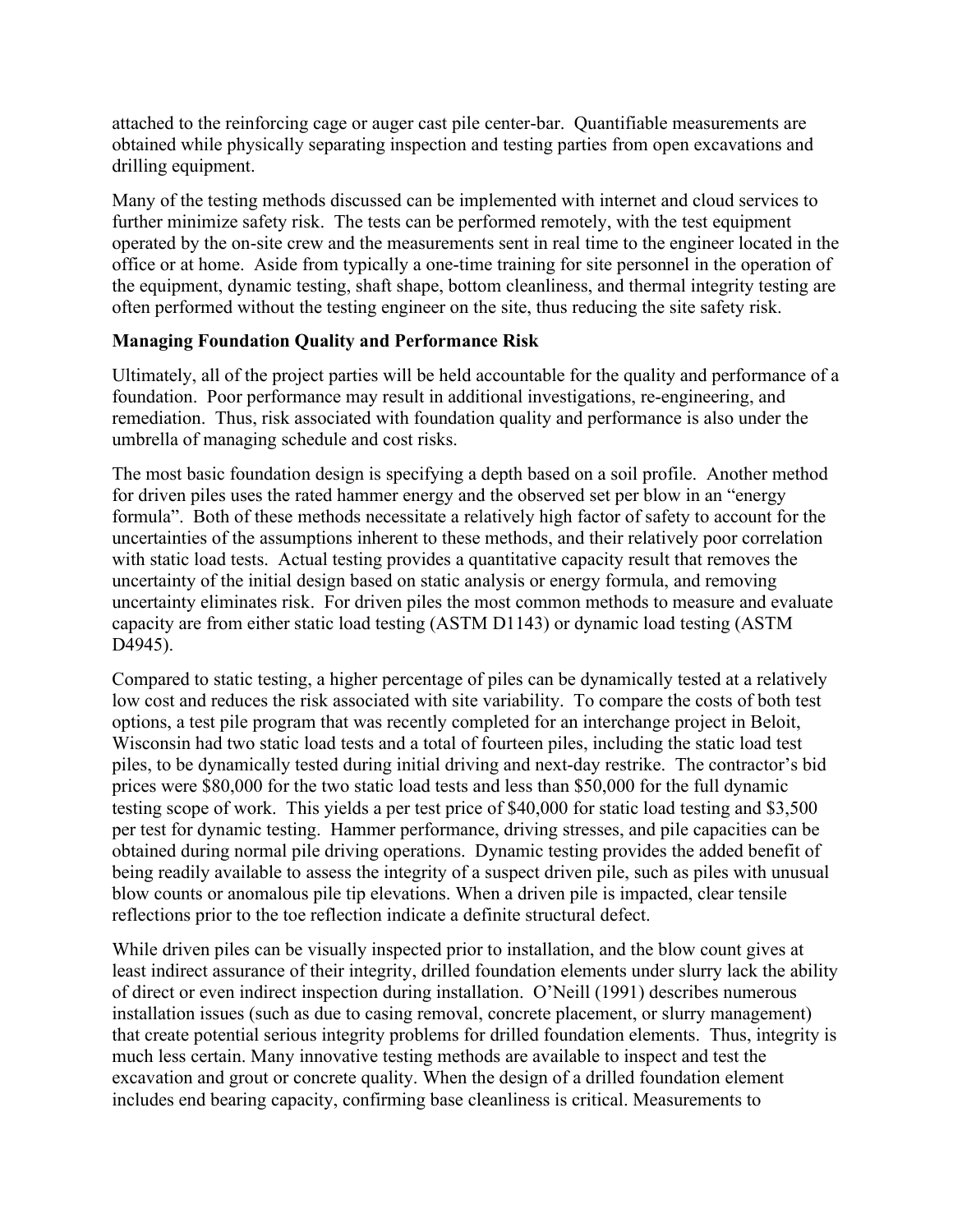attached to the reinforcing cage or auger cast pile center-bar. Quantifiable measurements are obtained while physically separating inspection and testing parties from open excavations and drilling equipment.

Many of the testing methods discussed can be implemented with internet and cloud services to further minimize safety risk. The tests can be performed remotely, with the test equipment operated by the on-site crew and the measurements sent in real time to the engineer located in the office or at home. Aside from typically a one-time training for site personnel in the operation of the equipment, dynamic testing, shaft shape, bottom cleanliness, and thermal integrity testing are often performed without the testing engineer on the site, thus reducing the site safety risk.

#### **Managing Foundation Quality and Performance Risk**

Ultimately, all of the project parties will be held accountable for the quality and performance of a foundation. Poor performance may result in additional investigations, re-engineering, and remediation. Thus, risk associated with foundation quality and performance is also under the umbrella of managing schedule and cost risks.

The most basic foundation design is specifying a depth based on a soil profile. Another method for driven piles uses the rated hammer energy and the observed set per blow in an "energy formula". Both of these methods necessitate a relatively high factor of safety to account for the uncertainties of the assumptions inherent to these methods, and their relatively poor correlation with static load tests. Actual testing provides a quantitative capacity result that removes the uncertainty of the initial design based on static analysis or energy formula, and removing uncertainty eliminates risk. For driven piles the most common methods to measure and evaluate capacity are from either static load testing (ASTM D1143) or dynamic load testing (ASTM D4945).

Compared to static testing, a higher percentage of piles can be dynamically tested at a relatively low cost and reduces the risk associated with site variability. To compare the costs of both test options, a test pile program that was recently completed for an interchange project in Beloit, Wisconsin had two static load tests and a total of fourteen piles, including the static load test piles, to be dynamically tested during initial driving and next-day restrike. The contractor's bid prices were \$80,000 for the two static load tests and less than \$50,000 for the full dynamic testing scope of work. This yields a per test price of \$40,000 for static load testing and \$3,500 per test for dynamic testing. Hammer performance, driving stresses, and pile capacities can be obtained during normal pile driving operations. Dynamic testing provides the added benefit of being readily available to assess the integrity of a suspect driven pile, such as piles with unusual blow counts or anomalous pile tip elevations. When a driven pile is impacted, clear tensile reflections prior to the toe reflection indicate a definite structural defect.

While driven piles can be visually inspected prior to installation, and the blow count gives at least indirect assurance of their integrity, drilled foundation elements under slurry lack the ability of direct or even indirect inspection during installation. O'Neill (1991) describes numerous installation issues (such as due to casing removal, concrete placement, or slurry management) that create potential serious integrity problems for drilled foundation elements. Thus, integrity is much less certain. Many innovative testing methods are available to inspect and test the excavation and grout or concrete quality. When the design of a drilled foundation element includes end bearing capacity, confirming base cleanliness is critical. Measurements to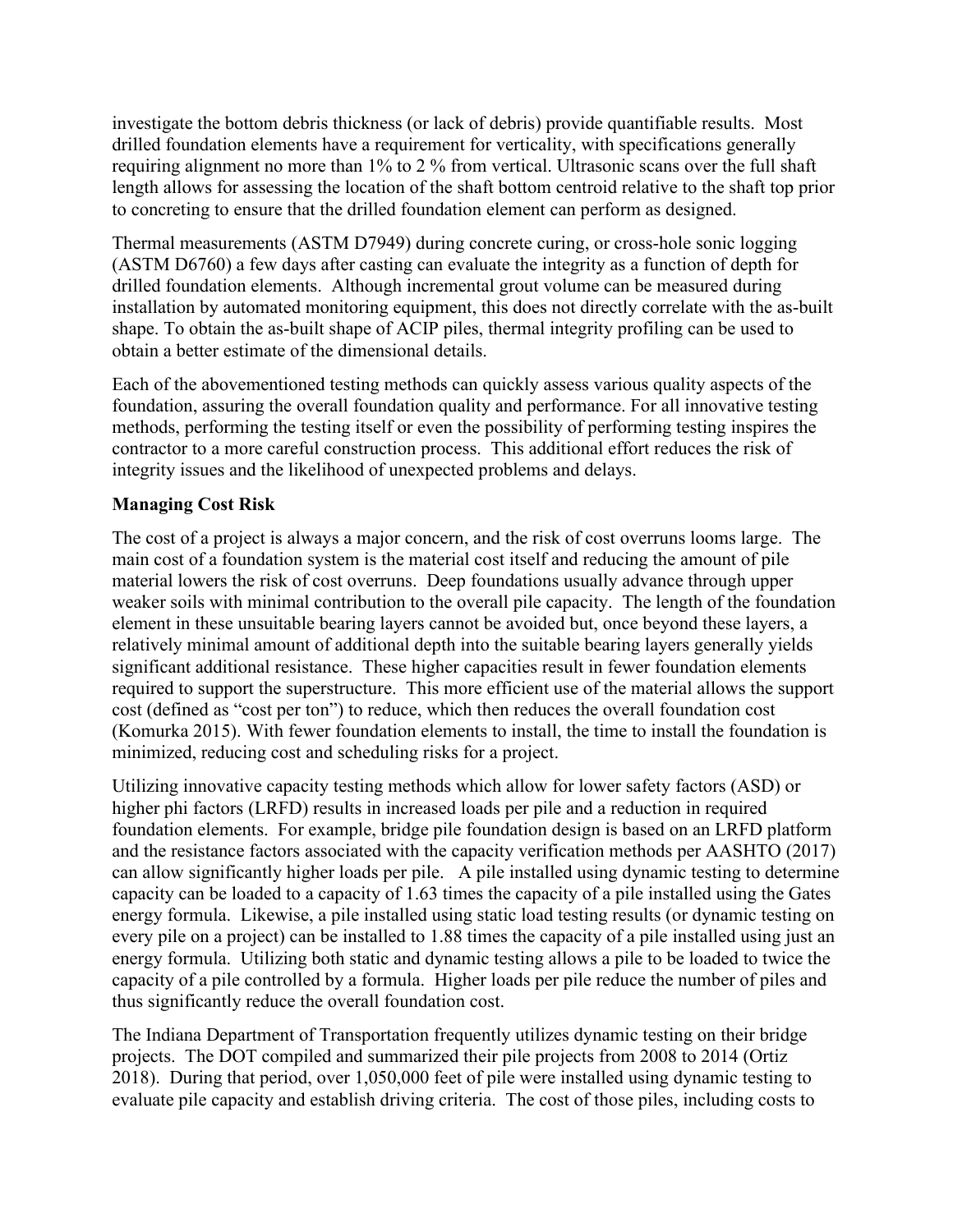investigate the bottom debris thickness (or lack of debris) provide quantifiable results. Most drilled foundation elements have a requirement for verticality, with specifications generally requiring alignment no more than 1% to 2 % from vertical. Ultrasonic scans over the full shaft length allows for assessing the location of the shaft bottom centroid relative to the shaft top prior to concreting to ensure that the drilled foundation element can perform as designed.

Thermal measurements (ASTM D7949) during concrete curing, or cross-hole sonic logging (ASTM D6760) a few days after casting can evaluate the integrity as a function of depth for drilled foundation elements. Although incremental grout volume can be measured during installation by automated monitoring equipment, this does not directly correlate with the as-built shape. To obtain the as-built shape of ACIP piles, thermal integrity profiling can be used to obtain a better estimate of the dimensional details.

Each of the abovementioned testing methods can quickly assess various quality aspects of the foundation, assuring the overall foundation quality and performance. For all innovative testing methods, performing the testing itself or even the possibility of performing testing inspires the contractor to a more careful construction process. This additional effort reduces the risk of integrity issues and the likelihood of unexpected problems and delays.

#### **Managing Cost Risk**

The cost of a project is always a major concern, and the risk of cost overruns looms large. The main cost of a foundation system is the material cost itself and reducing the amount of pile material lowers the risk of cost overruns. Deep foundations usually advance through upper weaker soils with minimal contribution to the overall pile capacity. The length of the foundation element in these unsuitable bearing layers cannot be avoided but, once beyond these layers, a relatively minimal amount of additional depth into the suitable bearing layers generally yields significant additional resistance. These higher capacities result in fewer foundation elements required to support the superstructure. This more efficient use of the material allows the support cost (defined as "cost per ton") to reduce, which then reduces the overall foundation cost (Komurka 2015). With fewer foundation elements to install, the time to install the foundation is minimized, reducing cost and scheduling risks for a project.

Utilizing innovative capacity testing methods which allow for lower safety factors (ASD) or higher phi factors (LRFD) results in increased loads per pile and a reduction in required foundation elements. For example, bridge pile foundation design is based on an LRFD platform and the resistance factors associated with the capacity verification methods per AASHTO (2017) can allow significantly higher loads per pile. A pile installed using dynamic testing to determine capacity can be loaded to a capacity of 1.63 times the capacity of a pile installed using the Gates energy formula. Likewise, a pile installed using static load testing results (or dynamic testing on every pile on a project) can be installed to 1.88 times the capacity of a pile installed using just an energy formula. Utilizing both static and dynamic testing allows a pile to be loaded to twice the capacity of a pile controlled by a formula. Higher loads per pile reduce the number of piles and thus significantly reduce the overall foundation cost.

The Indiana Department of Transportation frequently utilizes dynamic testing on their bridge projects. The DOT compiled and summarized their pile projects from 2008 to 2014 (Ortiz 2018). During that period, over 1,050,000 feet of pile were installed using dynamic testing to evaluate pile capacity and establish driving criteria. The cost of those piles, including costs to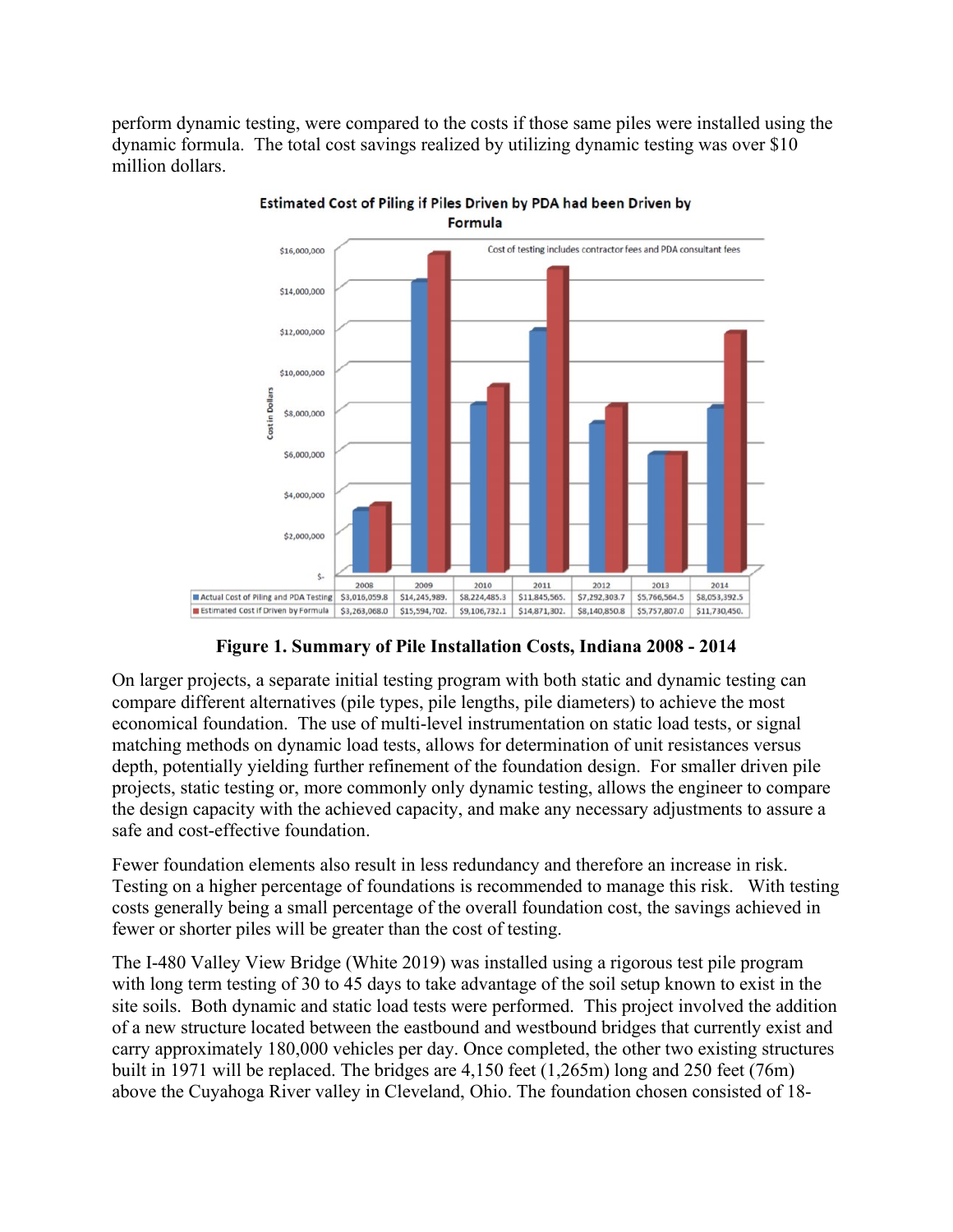perform dynamic testing, were compared to the costs if those same piles were installed using the dynamic formula. The total cost savings realized by utilizing dynamic testing was over \$10 million dollars.



Estimated Cost of Piling if Piles Driven by PDA had been Driven by **Formula** 

**Figure 1. Summary of Pile Installation Costs, Indiana 2008 - 2014**

On larger projects, a separate initial testing program with both static and dynamic testing can compare different alternatives (pile types, pile lengths, pile diameters) to achieve the most economical foundation. The use of multi-level instrumentation on static load tests, or signal matching methods on dynamic load tests, allows for determination of unit resistances versus depth, potentially yielding further refinement of the foundation design. For smaller driven pile projects, static testing or, more commonly only dynamic testing, allows the engineer to compare the design capacity with the achieved capacity, and make any necessary adjustments to assure a safe and cost-effective foundation.

Fewer foundation elements also result in less redundancy and therefore an increase in risk. Testing on a higher percentage of foundations is recommended to manage this risk. With testing costs generally being a small percentage of the overall foundation cost, the savings achieved in fewer or shorter piles will be greater than the cost of testing.

The I-480 Valley View Bridge (White 2019) was installed using a rigorous test pile program with long term testing of 30 to 45 days to take advantage of the soil setup known to exist in the site soils. Both dynamic and static load tests were performed. This project involved the addition of a new structure located between the eastbound and westbound bridges that currently exist and carry approximately 180,000 vehicles per day. Once completed, the other two existing structures built in 1971 will be replaced. The bridges are 4,150 feet (1,265m) long and 250 feet (76m) above the Cuyahoga River valley in Cleveland, Ohio. The foundation chosen consisted of 18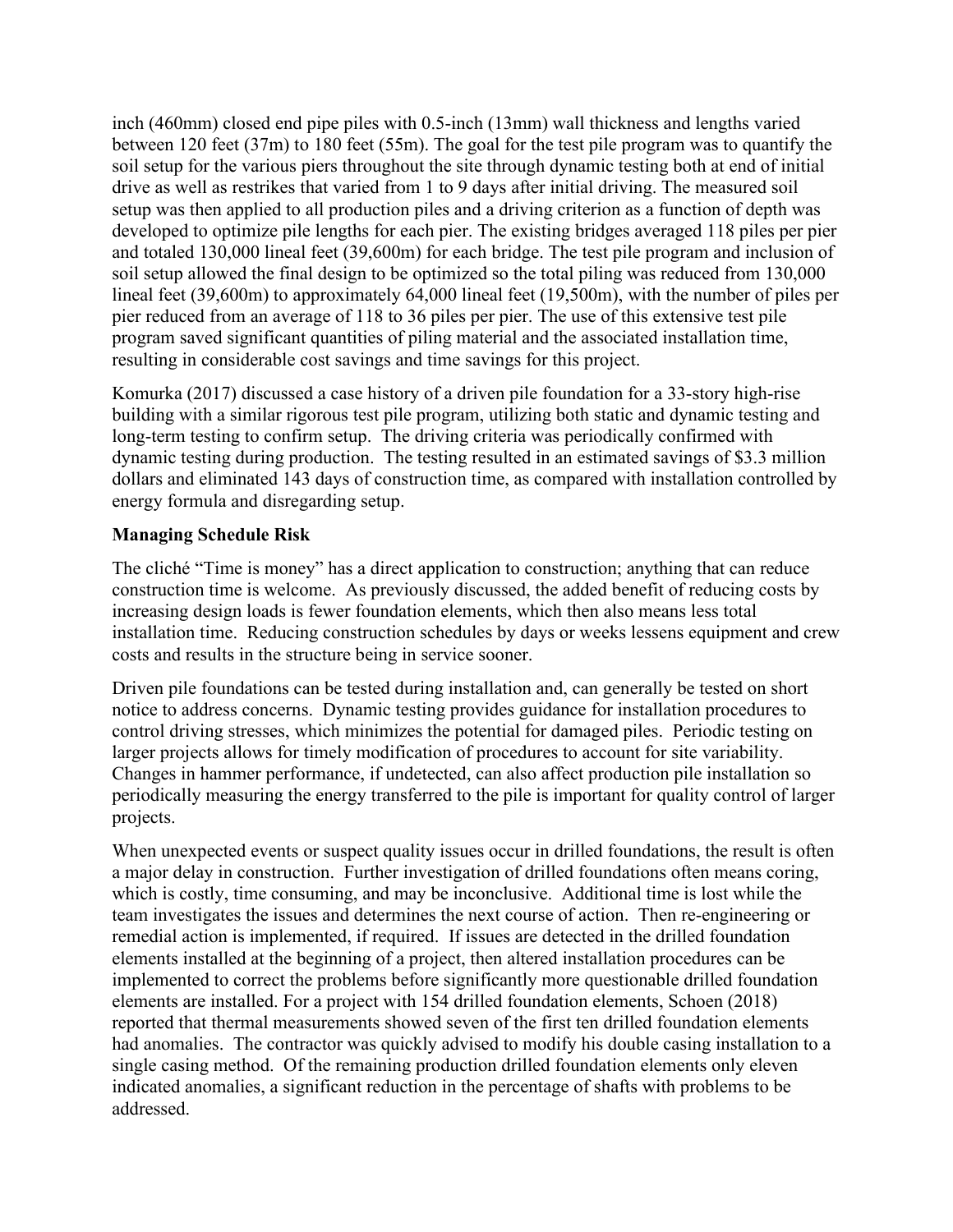inch (460mm) closed end pipe piles with 0.5-inch (13mm) wall thickness and lengths varied between 120 feet (37m) to 180 feet (55m). The goal for the test pile program was to quantify the soil setup for the various piers throughout the site through dynamic testing both at end of initial drive as well as restrikes that varied from 1 to 9 days after initial driving. The measured soil setup was then applied to all production piles and a driving criterion as a function of depth was developed to optimize pile lengths for each pier. The existing bridges averaged 118 piles per pier and totaled 130,000 lineal feet (39,600m) for each bridge. The test pile program and inclusion of soil setup allowed the final design to be optimized so the total piling was reduced from 130,000 lineal feet (39,600m) to approximately 64,000 lineal feet (19,500m), with the number of piles per pier reduced from an average of 118 to 36 piles per pier. The use of this extensive test pile program saved significant quantities of piling material and the associated installation time, resulting in considerable cost savings and time savings for this project.

Komurka (2017) discussed a case history of a driven pile foundation for a 33-story high-rise building with a similar rigorous test pile program, utilizing both static and dynamic testing and long-term testing to confirm setup. The driving criteria was periodically confirmed with dynamic testing during production. The testing resulted in an estimated savings of \$3.3 million dollars and eliminated 143 days of construction time, as compared with installation controlled by energy formula and disregarding setup.

## **Managing Schedule Risk**

The cliché "Time is money" has a direct application to construction; anything that can reduce construction time is welcome. As previously discussed, the added benefit of reducing costs by increasing design loads is fewer foundation elements, which then also means less total installation time. Reducing construction schedules by days or weeks lessens equipment and crew costs and results in the structure being in service sooner.

Driven pile foundations can be tested during installation and, can generally be tested on short notice to address concerns. Dynamic testing provides guidance for installation procedures to control driving stresses, which minimizes the potential for damaged piles. Periodic testing on larger projects allows for timely modification of procedures to account for site variability. Changes in hammer performance, if undetected, can also affect production pile installation so periodically measuring the energy transferred to the pile is important for quality control of larger projects.

When unexpected events or suspect quality issues occur in drilled foundations, the result is often a major delay in construction. Further investigation of drilled foundations often means coring, which is costly, time consuming, and may be inconclusive. Additional time is lost while the team investigates the issues and determines the next course of action. Then re-engineering or remedial action is implemented, if required. If issues are detected in the drilled foundation elements installed at the beginning of a project, then altered installation procedures can be implemented to correct the problems before significantly more questionable drilled foundation elements are installed. For a project with 154 drilled foundation elements, Schoen (2018) reported that thermal measurements showed seven of the first ten drilled foundation elements had anomalies. The contractor was quickly advised to modify his double casing installation to a single casing method. Of the remaining production drilled foundation elements only eleven indicated anomalies, a significant reduction in the percentage of shafts with problems to be addressed.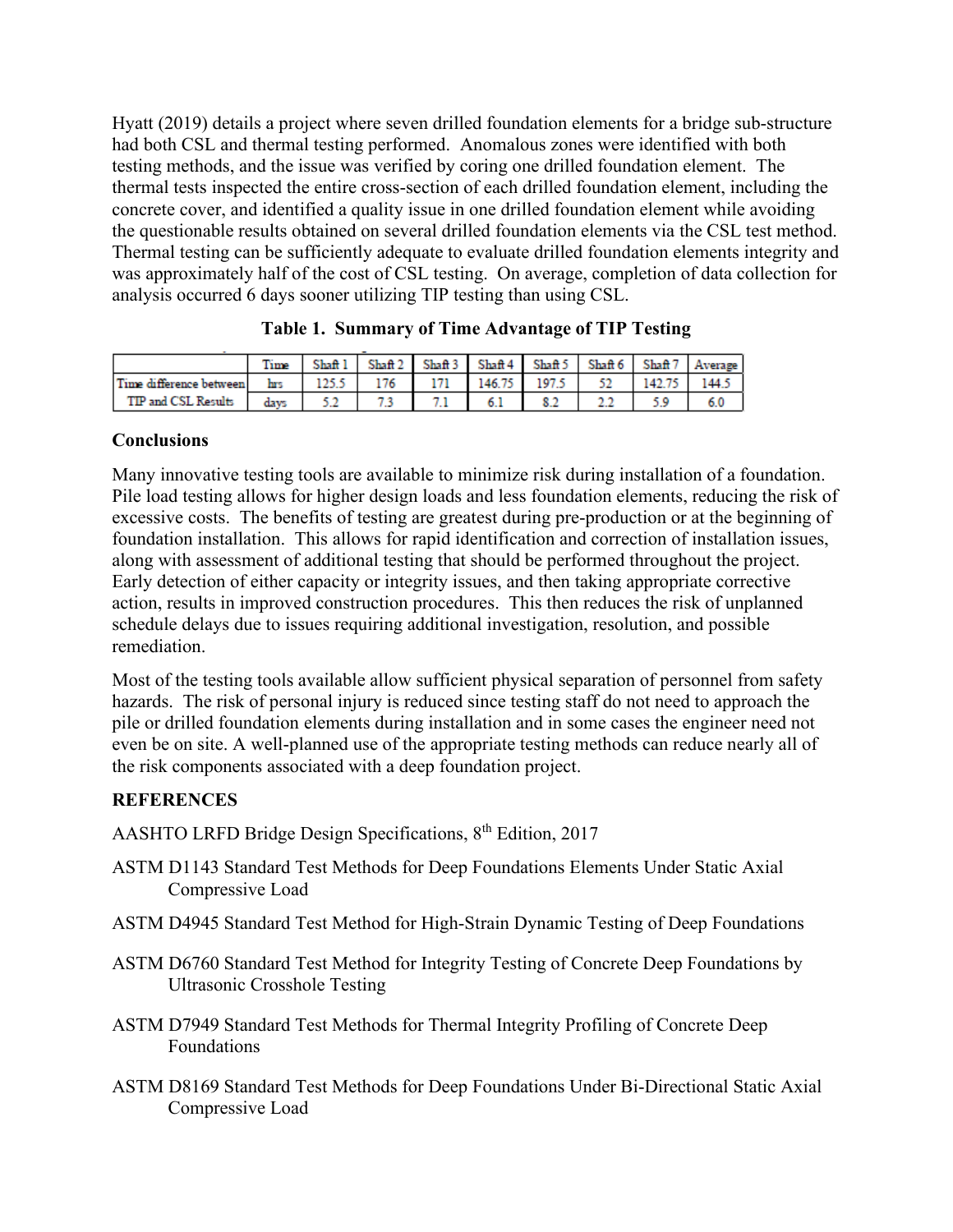Hyatt (2019) details a project where seven drilled foundation elements for a bridge sub-structure had both CSL and thermal testing performed. Anomalous zones were identified with both testing methods, and the issue was verified by coring one drilled foundation element. The thermal tests inspected the entire cross-section of each drilled foundation element, including the concrete cover, and identified a quality issue in one drilled foundation element while avoiding the questionable results obtained on several drilled foundation elements via the CSL test method. Thermal testing can be sufficiently adequate to evaluate drilled foundation elements integrity and was approximately half of the cost of CSL testing. On average, completion of data collection for analysis occurred 6 days sooner utilizing TIP testing than using CSL.

|                         | Time | Shaft 1 | Shaff 2 | Shaff 3 | Shaff 4 | Shaft 5 | Shaft 6 | Shaft <sub>7</sub> | Average |
|-------------------------|------|---------|---------|---------|---------|---------|---------|--------------------|---------|
| Time difference between | hrs  | .       | 76      |         | 146.75  | 197.    | --      | '42.               |         |
| TIP and CSL Results     |      | ---     |         |         | 0.1     | 8.2     | عمد     |                    | 6.U     |

|  | Table 1. Summary of Time Advantage of TIP Testing |  |  |  |
|--|---------------------------------------------------|--|--|--|
|--|---------------------------------------------------|--|--|--|

#### **Conclusions**

Many innovative testing tools are available to minimize risk during installation of a foundation. Pile load testing allows for higher design loads and less foundation elements, reducing the risk of excessive costs. The benefits of testing are greatest during pre-production or at the beginning of foundation installation. This allows for rapid identification and correction of installation issues, along with assessment of additional testing that should be performed throughout the project. Early detection of either capacity or integrity issues, and then taking appropriate corrective action, results in improved construction procedures. This then reduces the risk of unplanned schedule delays due to issues requiring additional investigation, resolution, and possible remediation.

Most of the testing tools available allow sufficient physical separation of personnel from safety hazards. The risk of personal injury is reduced since testing staff do not need to approach the pile or drilled foundation elements during installation and in some cases the engineer need not even be on site. A well-planned use of the appropriate testing methods can reduce nearly all of the risk components associated with a deep foundation project.

## **REFERENCES**

- AASHTO LRFD Bridge Design Specifications, 8th Edition, 2017
- ASTM D1143 Standard Test Methods for Deep Foundations Elements Under Static Axial Compressive Load
- ASTM D4945 Standard Test Method for High-Strain Dynamic Testing of Deep Foundations
- ASTM [D6760 Standard Test Method for Integrity Testing of Concrete Deep Foundations by](https://www.astm.org/Standards/D6760.htm)  [Ultrasonic Crosshole Testing](https://www.astm.org/Standards/D6760.htm)
- ASTM [D7949 Standard Test Methods for Thermal Integrity Profiling of Concrete Deep](https://www.astm.org/Standards/D7949.htm)  [Foundations](https://www.astm.org/Standards/D7949.htm)
- ASTM [D8169 Standard Test Methods for Deep Foundations Under Bi-Directional Static Axial](https://www.astm.org/Standards/D8169.htm)  [Compressive Load](https://www.astm.org/Standards/D8169.htm)